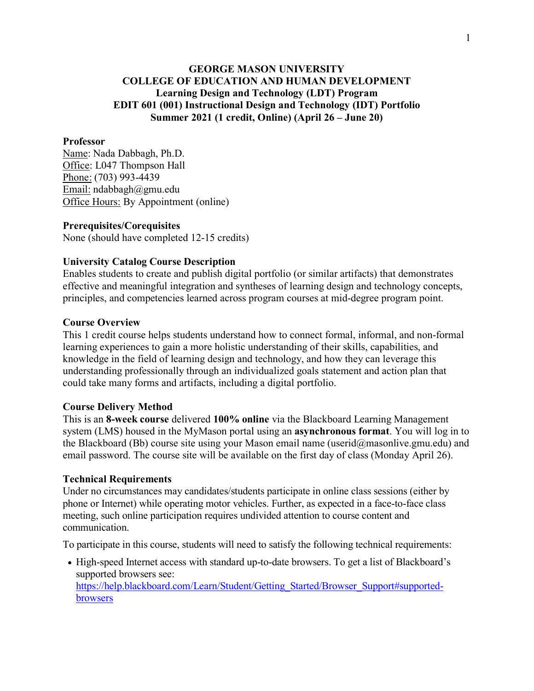# **GEORGE MASON UNIVERSITY COLLEGE OF EDUCATION AND HUMAN DEVELOPMENT Learning Design and Technology (LDT) Program EDIT 601 (001) Instructional Design and Technology (IDT) Portfolio Summer 2021 (1 credit, Online) (April 26 – June 20)**

#### **Professor**

Name: Nada Dabbagh, Ph.D. Office: L047 Thompson Hall Phone: (703) 993-4439 Email: ndabbagh@gmu.edu Office Hours: By Appointment (online)

#### **Prerequisites/Corequisites**

None (should have completed 12-15 credits)

#### **University Catalog Course Description**

Enables students to create and publish digital portfolio (or similar artifacts) that demonstrates effective and meaningful integration and syntheses of learning design and technology concepts, principles, and competencies learned across program courses at mid-degree program point.

#### **Course Overview**

This 1 credit course helps students understand how to connect formal, informal, and non-formal learning experiences to gain a more holistic understanding of their skills, capabilities, and knowledge in the field of learning design and technology, and how they can leverage this understanding professionally through an individualized goals statement and action plan that could take many forms and artifacts, including a digital portfolio.

#### **Course Delivery Method**

This is an **8-week course** delivered **100% online** via the Blackboard Learning Management system (LMS) housed in the MyMason portal using an **asynchronous format**. You will log in to the Blackboard (Bb) course site using your Mason email name (userid@masonlive.gmu.edu) and email password. The course site will be available on the first day of class (Monday April 26).

#### **Technical Requirements**

Under no circumstances may candidates/students participate in online class sessions (either by phone or Internet) while operating motor vehicles. Further, as expected in a face-to-face class meeting, such online participation requires undivided attention to course content and communication.

To participate in this course, students will need to satisfy the following technical requirements:

• High-speed Internet access with standard up-to-date browsers. To get a list of Blackboard's supported browsers see[:](https://help.blackboard.com/Learn/Student/Getting_Started/Browser_Support#supported-browsers) [https://help.blackboard.com/Learn/Student/Getting\\_Started/Browser\\_Support#supported](https://help.blackboard.com/Learn/Student/Getting_Started/Browser_Support#supported-browsers)[browsers](https://help.blackboard.com/Learn/Student/Getting_Started/Browser_Support#supported-browsers)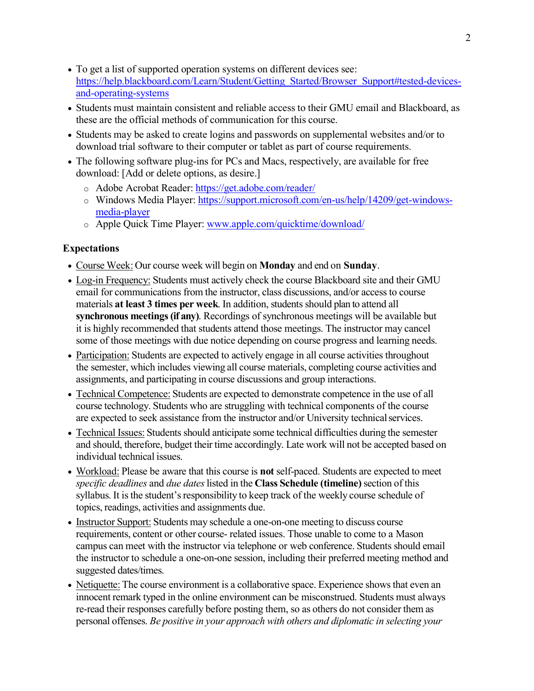- To get a list of supported operation systems on different devices see[:](https://help.blackboard.com/Learn/Student/Getting_Started/Browser_Support#tested-devices-and-operating-systems) [https://help.blackboard.com/Learn/Student/Getting\\_Started/Browser\\_Support#tested-devices](https://help.blackboard.com/Learn/Student/Getting_Started/Browser_Support#tested-devices-and-operating-systems)[and-operating-systems](https://help.blackboard.com/Learn/Student/Getting_Started/Browser_Support#tested-devices-and-operating-systems)
- Students must maintain consistent and reliable access to their GMU email and Blackboard, as these are the official methods of communication for this course.
- Students may be asked to create logins and passwords on supplemental websites and/or to download trial software to their computer or tablet as part of course requirements.
- The following software plug-ins for PCs and Macs, respectively, are available for free download: [Add or delete options, as desire.]
	- o Adobe Acrobat Reader:<https://get.adobe.com/reader/>
	- o Windows Media Player: [https://support.microsoft.com/en-us/help/14209/get-windows](https://support.microsoft.com/en-us/help/14209/get-windows-media-player)[media-player](https://support.microsoft.com/en-us/help/14209/get-windows-media-player)
	- o Apple Quick Time Player: [www.apple.com/quicktime/download/](http://www.apple.com/quicktime/download/)

# **Expectations**

- Course Week: Our course week will begin on **Monday** and end on **Sunday**.
- Log-in Frequency: Students must actively check the course Blackboard site and their GMU email for communications from the instructor, class discussions, and/or accessto course materials **at least 3 times per week**. In addition, students should plan to attend all **synchronous meetings(if any)**. Recordings of synchronous meetings will be available but it is highly recommended that students attend those meetings. The instructor may cancel some of those meetings with due notice depending on course progress and learning needs.
- Participation: Students are expected to actively engage in all course activities throughout the semester, which includes viewing all course materials, completing course activities and assignments, and participating in course discussions and group interactions.
- Technical Competence: Students are expected to demonstrate competence in the use of all course technology. Students who are struggling with technical components of the course are expected to seek assistance from the instructor and/or University technical services.
- Technical Issues: Students should anticipate some technical difficulties during the semester and should, therefore, budget their time accordingly. Late work will not be accepted based on individual technical issues.
- Workload: Please be aware that this course is **not** self-paced. Students are expected to meet *specific deadlines* and *due dates*listed in the **Class Schedule (timeline)**section of this syllabus. It is the student's responsibility to keep track of the weekly course schedule of topics, readings, activities and assignments due.
- Instructor Support: Students may schedule a one-on-one meeting to discuss course requirements, content or other course- related issues. Those unable to come to a Mason campus can meet with the instructor via telephone or web conference. Students should email the instructor to schedule a one-on-one session, including their preferred meeting method and suggested dates/times.
- Netiquette: The course environment is a collaborative space. Experience shows that even an innocent remark typed in the online environment can be misconstrued. Students must always re-read their responses carefully before posting them, so as others do not consider them as personal offenses. *Be positive in your approach with others and diplomatic in selecting your*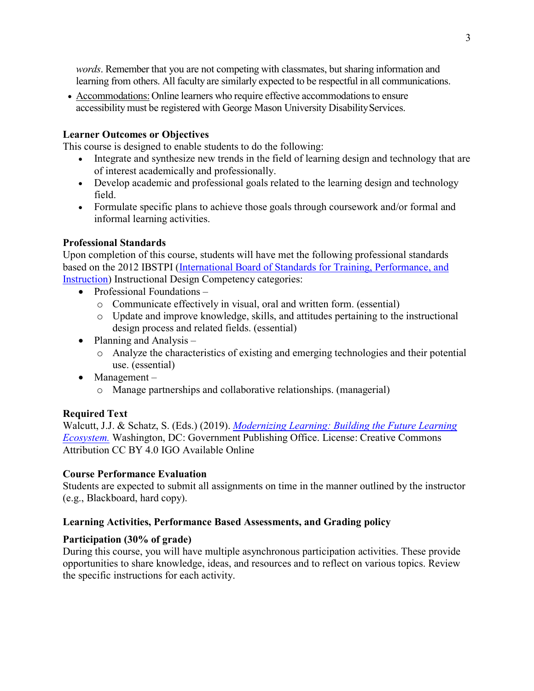*words*. Remember that you are not competing with classmates, but sharing information and learning from others. All faculty are similarly expected to be respectful in all communications.

• Accommodations: Online learners who require effective accommodations to ensure accessibility must be registered with George Mason University Disability Services.

# **Learner Outcomes or Objectives**

This course is designed to enable students to do the following:

- Integrate and synthesize new trends in the field of learning design and technology that are of interest academically and professionally.
- Develop academic and professional goals related to the learning design and technology field.
- Formulate specific plans to achieve those goals through coursework and/or formal and informal learning activities.

## **Professional Standards**

Upon completion of this course, students will have met the following professional standards based on the 2012 IBSTPI [\(International Board of Standards for Training, Performance, and](http://ibstpi.org/introducing-the-2012-instructional-design-competencies/)  [Instruction\)](http://ibstpi.org/introducing-the-2012-instructional-design-competencies/) Instructional Design Competency categories:

- Professional Foundations
	- o Communicate effectively in visual, oral and written form. (essential)
	- o Update and improve knowledge, skills, and attitudes pertaining to the instructional design process and related fields. (essential)
- Planning and Analysis
	- o Analyze the characteristics of existing and emerging technologies and their potential use. (essential)
- Management
	- o Manage partnerships and collaborative relationships. (managerial)

# **Required Text**

Walcutt, J.J. & Schatz, S. (Eds.) (2019). *[Modernizing Learning: Building the Future Learning](https://adlnet.gov/assets/uploads/Modernizing%20Learning.pdf)  [Ecosystem.](https://adlnet.gov/assets/uploads/Modernizing%20Learning.pdf)* Washington, DC: Government Publishing Office. License: Creative Commons Attribution CC BY 4.0 IGO Available Online

### **Course Performance Evaluation**

Students are expected to submit all assignments on time in the manner outlined by the instructor (e.g., Blackboard, hard copy).

### **Learning Activities, Performance Based Assessments, and Grading policy**

### **Participation (30% of grade)**

During this course, you will have multiple asynchronous participation activities. These provide opportunities to share knowledge, ideas, and resources and to reflect on various topics. Review the specific instructions for each activity.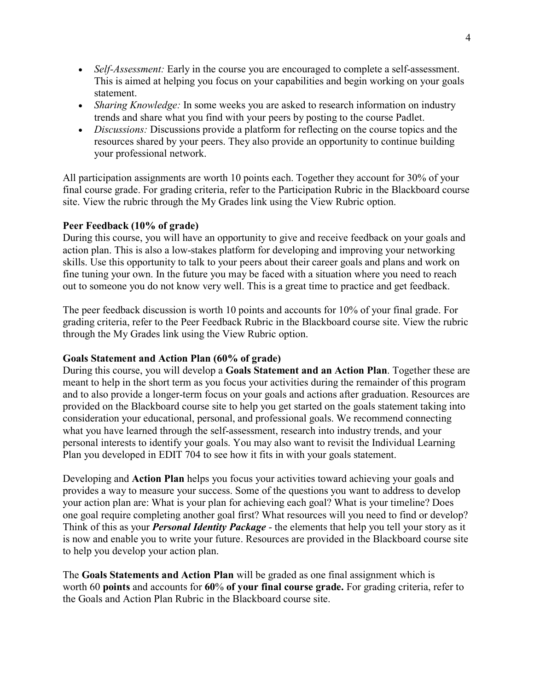- *Self-Assessment:* Early in the course you are encouraged to complete a self-assessment. This is aimed at helping you focus on your capabilities and begin working on your goals statement.
- *Sharing Knowledge:* In some weeks you are asked to research information on industry trends and share what you find with your peers by posting to the course Padlet.
- *Discussions:* Discussions provide a platform for reflecting on the course topics and the resources shared by your peers. They also provide an opportunity to continue building your professional network.

All participation assignments are worth 10 points each. Together they account for 30% of your final course grade. For grading criteria, refer to the Participation Rubric in the Blackboard course site. View the rubric through the My Grades link using the View Rubric option.

## **Peer Feedback (10% of grade)**

During this course, you will have an opportunity to give and receive feedback on your goals and action plan. This is also a low-stakes platform for developing and improving your networking skills. Use this opportunity to talk to your peers about their career goals and plans and work on fine tuning your own. In the future you may be faced with a situation where you need to reach out to someone you do not know very well. This is a great time to practice and get feedback.

The peer feedback discussion is worth 10 points and accounts for 10% of your final grade. For grading criteria, refer to the Peer Feedback Rubric in the Blackboard course site. View the rubric through the My Grades link using the View Rubric option.

### **Goals Statement and Action Plan (60% of grade)**

During this course, you will develop a **Goals Statement and an Action Plan**. Together these are meant to help in the short term as you focus your activities during the remainder of this program and to also provide a longer-term focus on your goals and actions after graduation. Resources are provided on the Blackboard course site to help you get started on the goals statement taking into consideration your educational, personal, and professional goals. We recommend connecting what you have learned through the self-assessment, research into industry trends, and your personal interests to identify your goals. You may also want to revisit the Individual Learning Plan you developed in EDIT 704 to see how it fits in with your goals statement.

Developing and **Action Plan** helps you focus your activities toward achieving your goals and provides a way to measure your success. Some of the questions you want to address to develop your action plan are: What is your plan for achieving each goal? What is your timeline? Does one goal require completing another goal first? What resources will you need to find or develop? Think of this as your *Personal Identity Package* - the elements that help you tell your story as it is now and enable you to write your future. Resources are provided in the Blackboard course site to help you develop your action plan.

The **Goals Statements and Action Plan** will be graded as one final assignment which is worth 60 **points** and accounts for **60**% **of your final course grade.** For grading criteria, refer to the Goals and Action Plan Rubric in the Blackboard course site.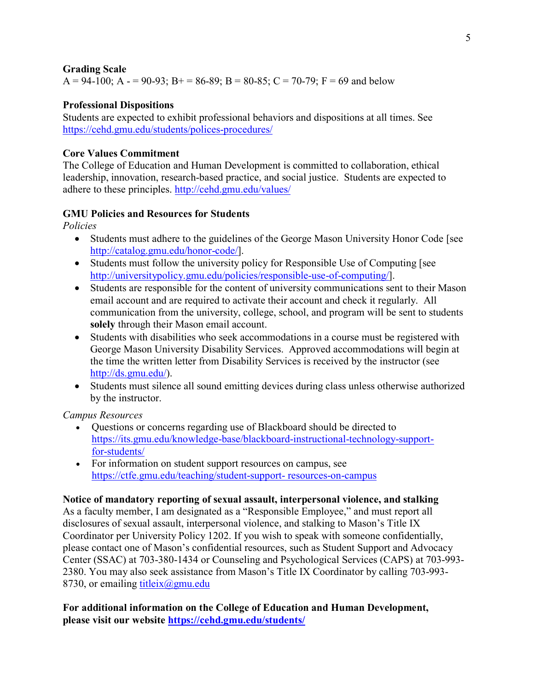#### **Grading Scale**  $A = 94-100$ ;  $A = 90-93$ ;  $B = 86-89$ ;  $B = 80-85$ ;  $C = 70-79$ ;  $F = 69$  and below

## **Professional Dispositions**

Students are expected to exhibit professional behaviors and dispositions at all times. See <https://cehd.gmu.edu/students/polices-procedures/>

## **Core Values Commitment**

The College of Education and Human Development is committed to collaboration, ethical leadership, innovation, research-based practice, and social justice. Students are expected to adhere to these principles. <http://cehd.gmu.edu/values/>

# **GMU Policies and Resources for Students**

*Policies*

- Students must adhere to the guidelines of the George Mason University Honor Code [see [http://catalog.gmu.edu/honor-code/\]](http://catalog.gmu.edu/honor-code/).
- Students must follow the university policy for Responsible Use of Computing [see [http://universitypolicy.gmu.edu/policies/responsible-use-of-computing/\]](http://universitypolicy.gmu.edu/policies/responsible-use-of-computing/).
- Students are responsible for the content of university communications sent to their Mason email account and are required to activate their account and check it regularly. All communication from the university, college, school, and program will be sent to students **solely** through their Mason email account.
- Students with disabilities who seek accommodations in a course must be registered with George Mason University Disability Services. Approved accommodations will begin at the time the written letter from Disability Services is received by the instructor (see [http://ds.gmu.edu/\)](http://ds.gmu.edu/).
- Students must silence all sound emitting devices during class unless otherwise authorized by the instructor.

*Campus Resources*

- Questions or concerns regarding use of Blackboard should be directed to [https://its.gmu.edu/knowledge-base/blackboard-instructional-technology-support](https://its.gmu.edu/knowledge-base/blackboard-instructional-technology-support-for-students/)[for-students/](https://its.gmu.edu/knowledge-base/blackboard-instructional-technology-support-for-students/)
- For information on student support resources on campus, see [https://ctfe.gmu.edu/teaching/student-support-](https://ctfe.gmu.edu/teaching/student-support-resources-on-campus) [resources-on-campus](https://ctfe.gmu.edu/teaching/student-support-resources-on-campus)

### **Notice of mandatory reporting of sexual assault, interpersonal violence, and stalking**

As a faculty member, I am designated as a "Responsible Employee," and must report all disclosures of sexual assault, interpersonal violence, and stalking to Mason's Title IX Coordinator per University Policy 1202. If you wish to speak with someone confidentially, please contact one of Mason's confidential resources, such as Student Support and Advocacy Center (SSAC) at 703-380-1434 or Counseling and Psychological Services (CAPS) at 703-993- 2380. You may also seek assistance from Mason's Title IX Coordinator by calling 703-993- 8730, or emailing titleix $(a)$ gmu.edu

## **For additional information on the College of Education and Human Development, please visit our website<https://cehd.gmu.edu/students/>**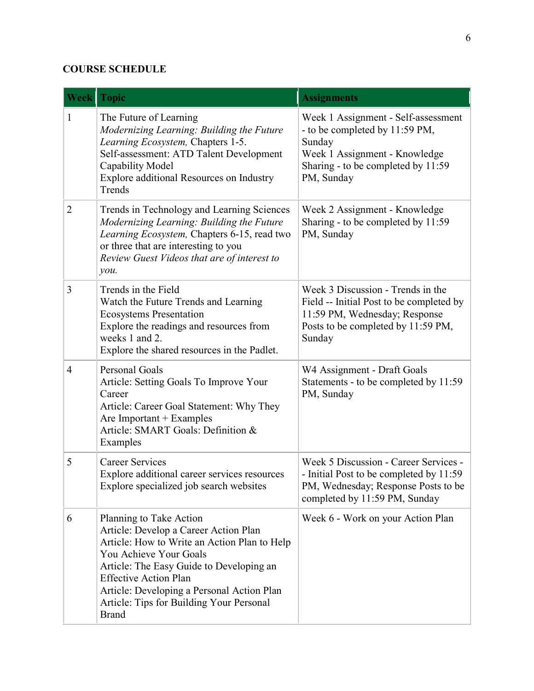# **COURSE SCHEDULE**

| <b>Week</b>    | <b>Topic</b>                                                                                                                                                                                                                                                                                                                     | <b>Assignments</b>                                                                                                                                                   |
|----------------|----------------------------------------------------------------------------------------------------------------------------------------------------------------------------------------------------------------------------------------------------------------------------------------------------------------------------------|----------------------------------------------------------------------------------------------------------------------------------------------------------------------|
| $\mathbf{1}$   | The Future of Learning<br>Modernizing Learning: Building the Future<br>Learning Ecosystem, Chapters 1-5.<br>Self-assessment: ATD Talent Development<br>Capability Model<br>Explore additional Resources on Industry<br>Trends                                                                                                    | Week 1 Assignment - Self-assessment<br>- to be completed by 11:59 PM,<br>Sunday<br>Week 1 Assignment - Knowledge<br>Sharing - to be completed by 11:59<br>PM, Sunday |
| 2              | Trends in Technology and Learning Sciences<br>Modernizing Learning: Building the Future<br>Learning Ecosystem, Chapters 6-15, read two<br>or three that are interesting to you<br>Review Guest Videos that are of interest to<br>you.                                                                                            | Week 2 Assignment - Knowledge<br>Sharing - to be completed by 11:59<br>PM, Sunday                                                                                    |
| 3              | Trends in the Field<br>Watch the Future Trends and Learning<br><b>Ecosystems Presentation</b><br>Explore the readings and resources from<br>weeks 1 and 2.<br>Explore the shared resources in the Padlet.                                                                                                                        | Week 3 Discussion - Trends in the<br>Field -- Initial Post to be completed by<br>11:59 PM, Wednesday; Response<br>Posts to be completed by 11:59 PM,<br>Sunday       |
| $\overline{4}$ | <b>Personal Goals</b><br>Article: Setting Goals To Improve Your<br>Career<br>Article: Career Goal Statement: Why They<br>Are Important $+$ Examples<br>Article: SMART Goals: Definition &<br>Examples                                                                                                                            | W4 Assignment - Draft Goals<br>Statements - to be completed by 11:59<br>PM, Sunday                                                                                   |
| 5              | <b>Career Services</b><br>Explore additional career services resources<br>Explore specialized job search websites                                                                                                                                                                                                                | Week 5 Discussion - Career Services -<br>- Initial Post to be completed by 11:59<br>PM, Wednesday; Response Posts to be<br>completed by 11:59 PM, Sunday             |
| 6              | Planning to Take Action<br>Article: Develop a Career Action Plan<br>Article: How to Write an Action Plan to Help<br>You Achieve Your Goals<br>Article: The Easy Guide to Developing an<br><b>Effective Action Plan</b><br>Article: Developing a Personal Action Plan<br>Article: Tips for Building Your Personal<br><b>Brand</b> | Week 6 - Work on your Action Plan                                                                                                                                    |